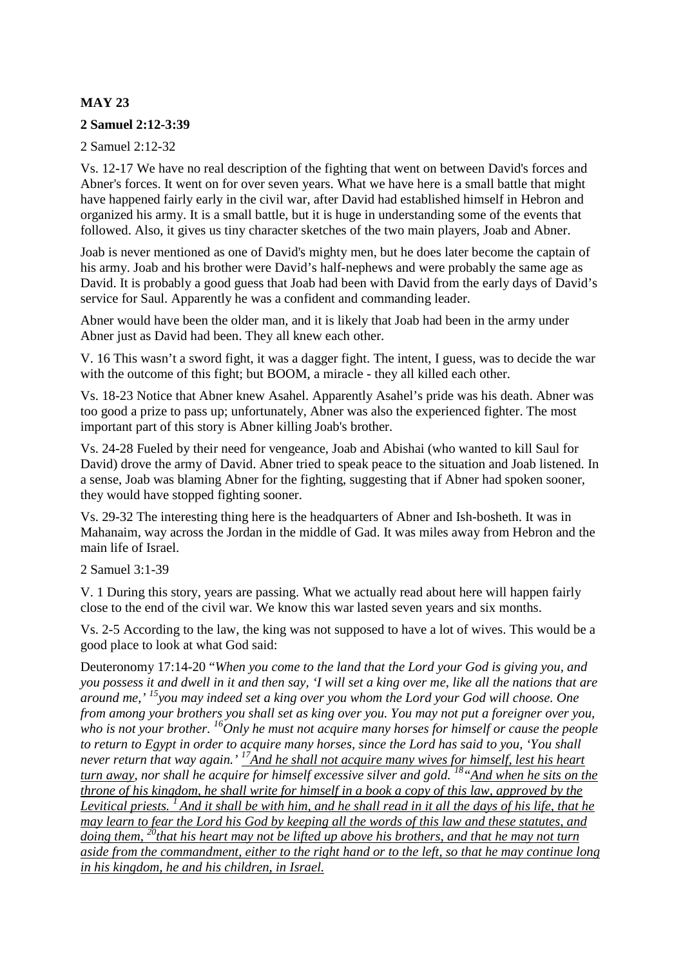# **MAY 23**

### **2 Samuel 2:12-3:39**

2 Samuel 2:12-32

Vs. 12-17 We have no real description of the fighting that went on between David's forces and Abner's forces. It went on for over seven years. What we have here is a small battle that might have happened fairly early in the civil war, after David had established himself in Hebron and organized his army. It is a small battle, but it is huge in understanding some of the events that followed. Also, it gives us tiny character sketches of the two main players, Joab and Abner.

Joab is never mentioned as one of David's mighty men, but he does later become the captain of his army. Joab and his brother were David's half-nephews and were probably the same age as David. It is probably a good guess that Joab had been with David from the early days of David's service for Saul. Apparently he was a confident and commanding leader.

Abner would have been the older man, and it is likely that Joab had been in the army under Abner just as David had been. They all knew each other.

V. 16 This wasn't a sword fight, it was a dagger fight. The intent, I guess, was to decide the war with the outcome of this fight; but BOOM, a miracle - they all killed each other.

Vs. 18-23 Notice that Abner knew Asahel. Apparently Asahel's pride was his death. Abner was too good a prize to pass up; unfortunately, Abner was also the experienced fighter. The most important part of this story is Abner killing Joab's brother.

Vs. 24-28 Fueled by their need for vengeance, Joab and Abishai (who wanted to kill Saul for David) drove the army of David. Abner tried to speak peace to the situation and Joab listened. In a sense, Joab was blaming Abner for the fighting, suggesting that if Abner had spoken sooner, they would have stopped fighting sooner.

Vs. 29-32 The interesting thing here is the headquarters of Abner and Ish-bosheth. It was in Mahanaim, way across the Jordan in the middle of Gad. It was miles away from Hebron and the main life of Israel.

2 Samuel 3:1-39

V. 1 During this story, years are passing. What we actually read about here will happen fairly close to the end of the civil war. We know this war lasted seven years and six months.

Vs. 2-5 According to the law, the king was not supposed to have a lot of wives. This would be a good place to look at what God said:

Deuteronomy 17:14-20 "*When you come to the land that the Lord your God is giving you, and you possess it and dwell in it and then say, 'I will set a king over me, like all the nations that are around me,' <sup>15</sup>you may indeed set a king over you whom the Lord your God will choose. One from among your brothers you shall set as king over you. You may not put a foreigner over you, who is not your brother. <sup>16</sup>Only he must not acquire many horses for himself or cause the people to return to Egypt in order to acquire many horses, since the Lord has said to you, 'You shall never return that way again.' <sup>17</sup>And he shall not acquire many wives for himself, lest his heart turn away, nor shall he acquire for himself excessive silver and gold. <sup>18</sup>"And when he sits on the throne of his kingdom, he shall write for himself in a book a copy of this law, approved by the Levitical priests. <sup>1</sup>And it shall be with him, and he shall read in it all the days of his life, that he may learn to fear the Lord his God by keeping all the words of this law and these statutes, and doing them, <sup>20</sup>that his heart may not be lifted up above his brothers, and that he may not turn aside from the commandment, either to the right hand or to the left, so that he may continue long in his kingdom, he and his children, in Israel.*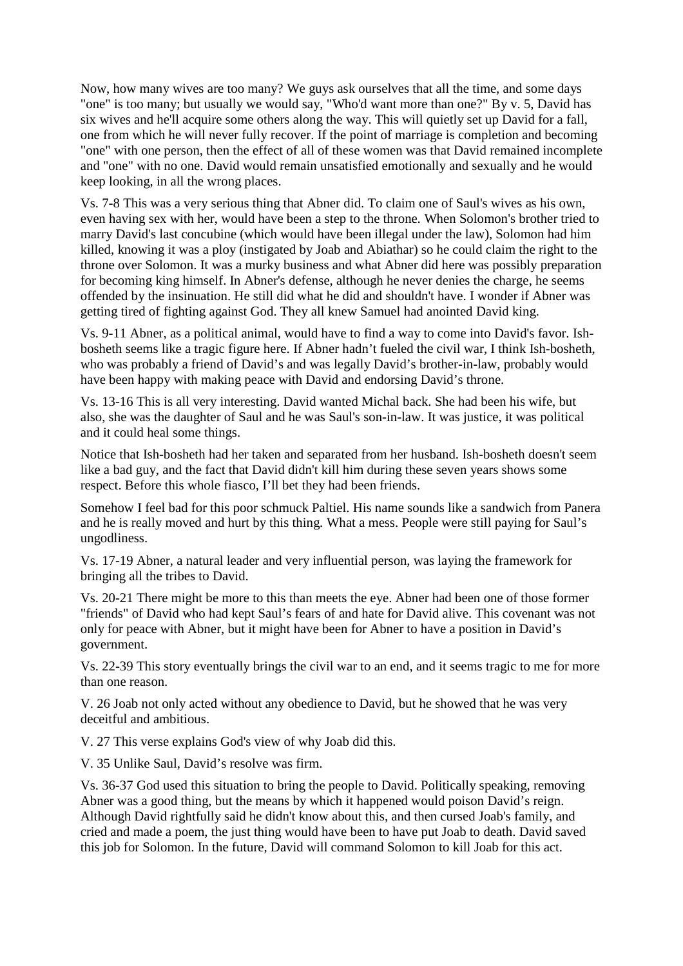Now, how many wives are too many? We guys ask ourselves that all the time, and some days "one" is too many; but usually we would say, "Who'd want more than one?" By v. 5, David has six wives and he'll acquire some others along the way. This will quietly set up David for a fall, one from which he will never fully recover. If the point of marriage is completion and becoming "one" with one person, then the effect of all of these women was that David remained incomplete and "one" with no one. David would remain unsatisfied emotionally and sexually and he would keep looking, in all the wrong places.

Vs. 7-8 This was a very serious thing that Abner did. To claim one of Saul's wives as his own, even having sex with her, would have been a step to the throne. When Solomon's brother tried to marry David's last concubine (which would have been illegal under the law), Solomon had him killed, knowing it was a ploy (instigated by Joab and Abiathar) so he could claim the right to the throne over Solomon. It was a murky business and what Abner did here was possibly preparation for becoming king himself. In Abner's defense, although he never denies the charge, he seems offended by the insinuation. He still did what he did and shouldn't have. I wonder if Abner was getting tired of fighting against God. They all knew Samuel had anointed David king.

Vs. 9-11 Abner, as a political animal, would have to find a way to come into David's favor. Ishbosheth seems like a tragic figure here. If Abner hadn't fueled the civil war, I think Ish-bosheth, who was probably a friend of David's and was legally David's brother-in-law, probably would have been happy with making peace with David and endorsing David's throne.

Vs. 13-16 This is all very interesting. David wanted Michal back. She had been his wife, but also, she was the daughter of Saul and he was Saul's son-in-law. It was justice, it was political and it could heal some things.

Notice that Ish-bosheth had her taken and separated from her husband. Ish-bosheth doesn't seem like a bad guy, and the fact that David didn't kill him during these seven years shows some respect. Before this whole fiasco, I'll bet they had been friends.

Somehow I feel bad for this poor schmuck Paltiel. His name sounds like a sandwich from Panera and he is really moved and hurt by this thing. What a mess. People were still paying for Saul's ungodliness.

Vs. 17-19 Abner, a natural leader and very influential person, was laying the framework for bringing all the tribes to David.

Vs. 20-21 There might be more to this than meets the eye. Abner had been one of those former "friends" of David who had kept Saul's fears of and hate for David alive. This covenant was not only for peace with Abner, but it might have been for Abner to have a position in David's government.

Vs. 22-39 This story eventually brings the civil war to an end, and it seems tragic to me for more than one reason.

V. 26 Joab not only acted without any obedience to David, but he showed that he was very deceitful and ambitious.

V. 27 This verse explains God's view of why Joab did this.

V. 35 Unlike Saul, David's resolve was firm.

Vs. 36-37 God used this situation to bring the people to David. Politically speaking, removing Abner was a good thing, but the means by which it happened would poison David's reign. Although David rightfully said he didn't know about this, and then cursed Joab's family, and cried and made a poem, the just thing would have been to have put Joab to death. David saved this job for Solomon. In the future, David will command Solomon to kill Joab for this act.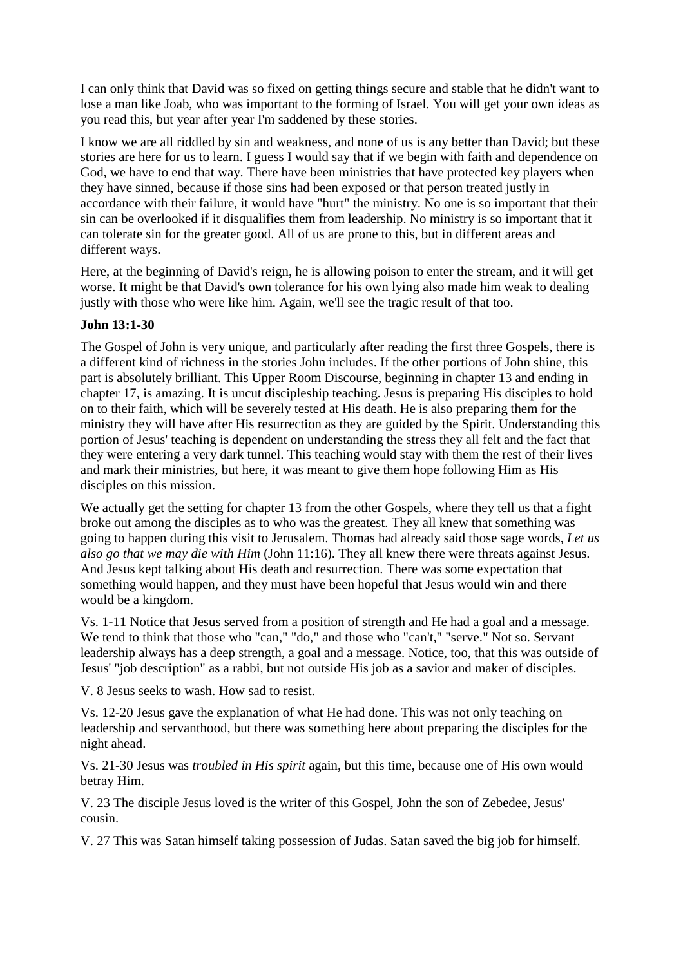I can only think that David was so fixed on getting things secure and stable that he didn't want to lose a man like Joab, who was important to the forming of Israel. You will get your own ideas as you read this, but year after year I'm saddened by these stories.

I know we are all riddled by sin and weakness, and none of us is any better than David; but these stories are here for us to learn. I guess I would say that if we begin with faith and dependence on God, we have to end that way. There have been ministries that have protected key players when they have sinned, because if those sins had been exposed or that person treated justly in accordance with their failure, it would have "hurt" the ministry. No one is so important that their sin can be overlooked if it disqualifies them from leadership. No ministry is so important that it can tolerate sin for the greater good. All of us are prone to this, but in different areas and different ways.

Here, at the beginning of David's reign, he is allowing poison to enter the stream, and it will get worse. It might be that David's own tolerance for his own lying also made him weak to dealing justly with those who were like him. Again, we'll see the tragic result of that too.

### **John 13:1-30**

The Gospel of John is very unique, and particularly after reading the first three Gospels, there is a different kind of richness in the stories John includes. If the other portions of John shine, this part is absolutely brilliant. This Upper Room Discourse, beginning in chapter 13 and ending in chapter 17, is amazing. It is uncut discipleship teaching. Jesus is preparing His disciples to hold on to their faith, which will be severely tested at His death. He is also preparing them for the ministry they will have after His resurrection as they are guided by the Spirit. Understanding this portion of Jesus' teaching is dependent on understanding the stress they all felt and the fact that they were entering a very dark tunnel. This teaching would stay with them the rest of their lives and mark their ministries, but here, it was meant to give them hope following Him as His disciples on this mission.

We actually get the setting for chapter 13 from the other Gospels, where they tell us that a fight broke out among the disciples as to who was the greatest. They all knew that something was going to happen during this visit to Jerusalem. Thomas had already said those sage words, *Let us also go that we may die with Him* (John 11:16). They all knew there were threats against Jesus. And Jesus kept talking about His death and resurrection. There was some expectation that something would happen, and they must have been hopeful that Jesus would win and there would be a kingdom.

Vs. 1-11 Notice that Jesus served from a position of strength and He had a goal and a message. We tend to think that those who "can," "do," and those who "can't," "serve." Not so. Servant leadership always has a deep strength, a goal and a message. Notice, too, that this was outside of Jesus' "job description" as a rabbi, but not outside His job as a savior and maker of disciples.

V. 8 Jesus seeks to wash. How sad to resist.

Vs. 12-20 Jesus gave the explanation of what He had done. This was not only teaching on leadership and servanthood, but there was something here about preparing the disciples for the night ahead.

Vs. 21-30 Jesus was *troubled in His spirit* again, but this time, because one of His own would betray Him.

V. 23 The disciple Jesus loved is the writer of this Gospel, John the son of Zebedee, Jesus' cousin.

V. 27 This was Satan himself taking possession of Judas. Satan saved the big job for himself.